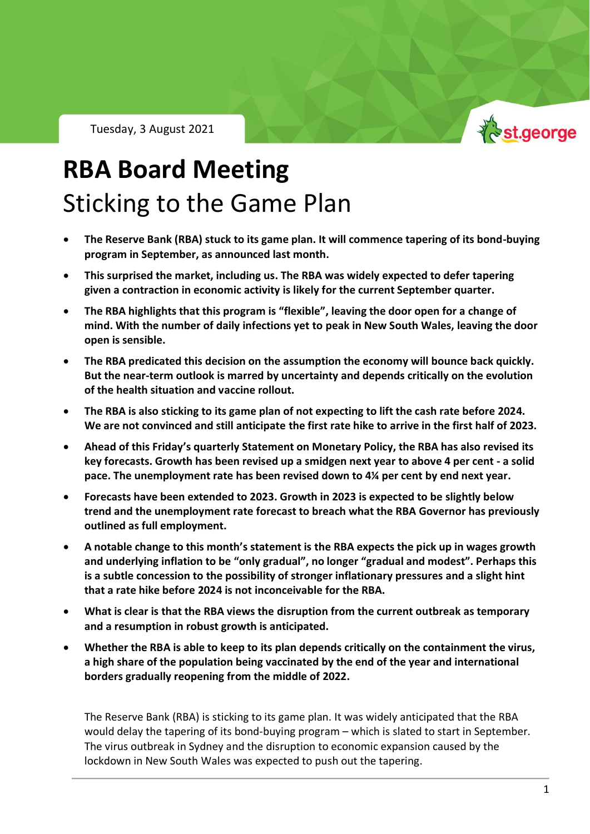Tuesday, 3 August 2021



## **RBA Board Meeting** Sticking to the Game Plan

- **The Reserve Bank (RBA) stuck to its game plan. It will commence tapering of its bond-buying program in September, as announced last month.**
- **This surprised the market, including us. The RBA was widely expected to defer tapering given a contraction in economic activity is likely for the current September quarter.**
- **The RBA highlights that this program is "flexible", leaving the door open for a change of mind. With the number of daily infections yet to peak in New South Wales, leaving the door open is sensible.**
- **The RBA predicated this decision on the assumption the economy will bounce back quickly. But the near-term outlook is marred by uncertainty and depends critically on the evolution of the health situation and vaccine rollout.**
- **The RBA is also sticking to its game plan of not expecting to lift the cash rate before 2024. We are not convinced and still anticipate the first rate hike to arrive in the first half of 2023.**
- **Ahead of this Friday's quarterly Statement on Monetary Policy, the RBA has also revised its key forecasts. Growth has been revised up a smidgen next year to above 4 per cent - a solid pace. The unemployment rate has been revised down to 4¼ per cent by end next year.**
- **Forecasts have been extended to 2023. Growth in 2023 is expected to be slightly below trend and the unemployment rate forecast to breach what the RBA Governor has previously outlined as full employment.**
- **A notable change to this month's statement is the RBA expects the pick up in wages growth and underlying inflation to be "only gradual", no longer "gradual and modest". Perhaps this is a subtle concession to the possibility of stronger inflationary pressures and a slight hint that a rate hike before 2024 is not inconceivable for the RBA.**
- **What is clear is that the RBA views the disruption from the current outbreak as temporary and a resumption in robust growth is anticipated.**
- **Whether the RBA is able to keep to its plan depends critically on the containment the virus, a high share of the population being vaccinated by the end of the year and international borders gradually reopening from the middle of 2022.**

The Reserve Bank (RBA) is sticking to its game plan. It was widely anticipated that the RBA would delay the tapering of its bond-buying program – which is slated to start in September. The virus outbreak in Sydney and the disruption to economic expansion caused by the lockdown in New South Wales was expected to push out the tapering.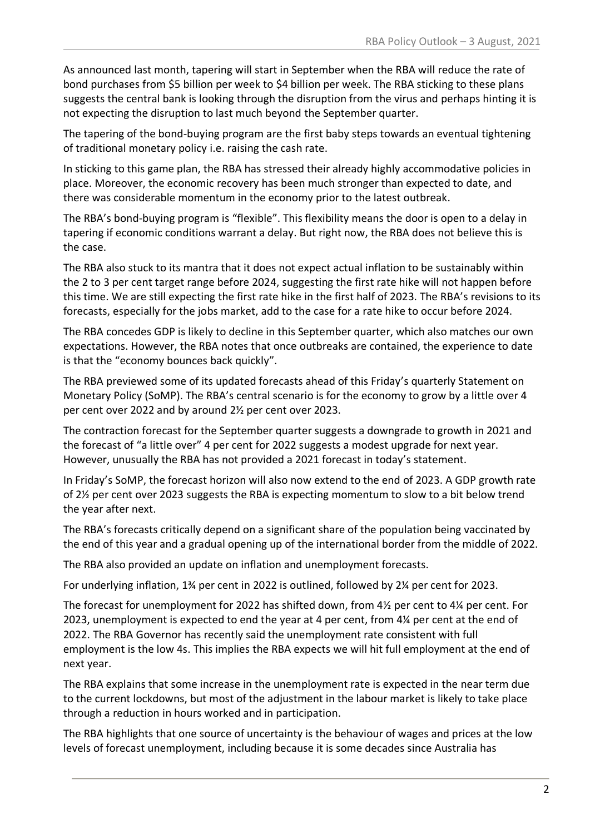As announced last month, tapering will start in September when the RBA will reduce the rate of bond purchases from \$5 billion per week to \$4 billion per week. The RBA sticking to these plans suggests the central bank is looking through the disruption from the virus and perhaps hinting it is not expecting the disruption to last much beyond the September quarter.

The tapering of the bond-buying program are the first baby steps towards an eventual tightening of traditional monetary policy i.e. raising the cash rate.

In sticking to this game plan, the RBA has stressed their already highly accommodative policies in place. Moreover, the economic recovery has been much stronger than expected to date, and there was considerable momentum in the economy prior to the latest outbreak.

The RBA's bond-buying program is "flexible". This flexibility means the door is open to a delay in tapering if economic conditions warrant a delay. But right now, the RBA does not believe this is the case.

The RBA also stuck to its mantra that it does not expect actual inflation to be sustainably within the 2 to 3 per cent target range before 2024, suggesting the first rate hike will not happen before this time. We are still expecting the first rate hike in the first half of 2023. The RBA's revisions to its forecasts, especially for the jobs market, add to the case for a rate hike to occur before 2024.

The RBA concedes GDP is likely to decline in this September quarter, which also matches our own expectations. However, the RBA notes that once outbreaks are contained, the experience to date is that the "economy bounces back quickly".

The RBA previewed some of its updated forecasts ahead of this Friday's quarterly Statement on Monetary Policy (SoMP). The RBA's central scenario is for the economy to grow by a little over 4 per cent over 2022 and by around 2½ per cent over 2023.

The contraction forecast for the September quarter suggests a downgrade to growth in 2021 and the forecast of "a little over" 4 per cent for 2022 suggests a modest upgrade for next year. However, unusually the RBA has not provided a 2021 forecast in today's statement.

In Friday's SoMP, the forecast horizon will also now extend to the end of 2023. A GDP growth rate of 2½ per cent over 2023 suggests the RBA is expecting momentum to slow to a bit below trend the year after next.

The RBA's forecasts critically depend on a significant share of the population being vaccinated by the end of this year and a gradual opening up of the international border from the middle of 2022.

The RBA also provided an update on inflation and unemployment forecasts.

For underlying inflation, 1¾ per cent in 2022 is outlined, followed by 2¼ per cent for 2023.

The forecast for unemployment for 2022 has shifted down, from 4½ per cent to 4¼ per cent. For 2023, unemployment is expected to end the year at 4 per cent, from 4¼ per cent at the end of 2022. The RBA Governor has recently said the unemployment rate consistent with full employment is the low 4s. This implies the RBA expects we will hit full employment at the end of next year.

The RBA explains that some increase in the unemployment rate is expected in the near term due to the current lockdowns, but most of the adjustment in the labour market is likely to take place through a reduction in hours worked and in participation.

The RBA highlights that one source of uncertainty is the behaviour of wages and prices at the low levels of forecast unemployment, including because it is some decades since Australia has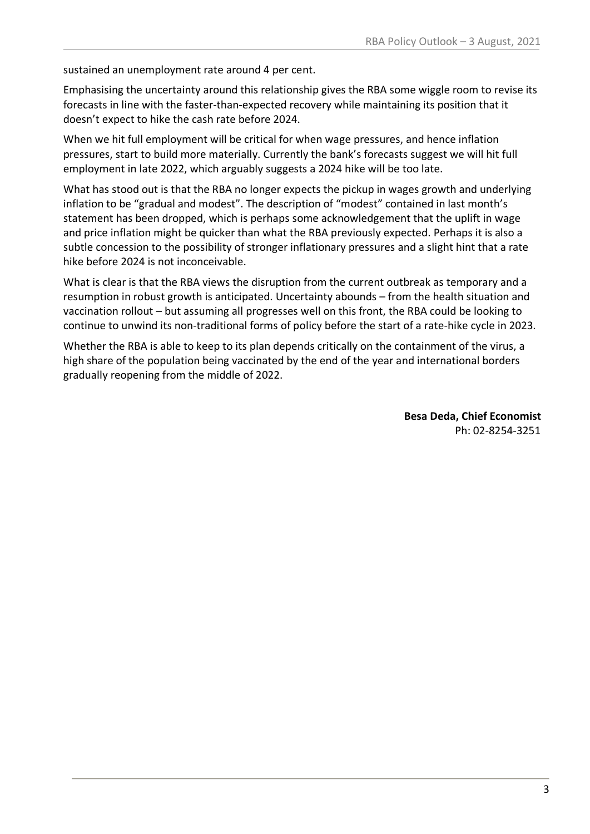sustained an unemployment rate around 4 per cent.

Emphasising the uncertainty around this relationship gives the RBA some wiggle room to revise its forecasts in line with the faster-than-expected recovery while maintaining its position that it doesn't expect to hike the cash rate before 2024.

When we hit full employment will be critical for when wage pressures, and hence inflation pressures, start to build more materially. Currently the bank's forecasts suggest we will hit full employment in late 2022, which arguably suggests a 2024 hike will be too late.

What has stood out is that the RBA no longer expects the pickup in wages growth and underlying inflation to be "gradual and modest". The description of "modest" contained in last month's statement has been dropped, which is perhaps some acknowledgement that the uplift in wage and price inflation might be quicker than what the RBA previously expected. Perhaps it is also a subtle concession to the possibility of stronger inflationary pressures and a slight hint that a rate hike before 2024 is not inconceivable.

What is clear is that the RBA views the disruption from the current outbreak as temporary and a resumption in robust growth is anticipated. Uncertainty abounds – from the health situation and vaccination rollout – but assuming all progresses well on this front, the RBA could be looking to continue to unwind its non-traditional forms of policy before the start of a rate-hike cycle in 2023.

Whether the RBA is able to keep to its plan depends critically on the containment of the virus, a high share of the population being vaccinated by the end of the year and international borders gradually reopening from the middle of 2022.

> **Besa Deda, Chief Economist** Ph: 02-8254-3251